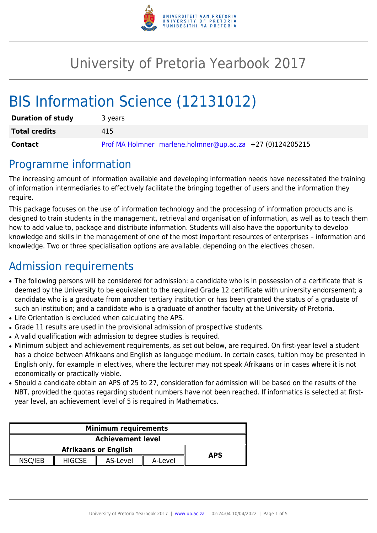

# University of Pretoria Yearbook 2017

# BIS Information Science (12131012)

| <b>Duration of study</b> | 3 years                                                   |
|--------------------------|-----------------------------------------------------------|
| <b>Total credits</b>     | 415                                                       |
| Contact                  | Prof MA Holmner marlene.holmner@up.ac.za +27 (0)124205215 |

### Programme information

The increasing amount of information available and developing information needs have necessitated the training of information intermediaries to effectively facilitate the bringing together of users and the information they require.

This package focuses on the use of information technology and the processing of information products and is designed to train students in the management, retrieval and organisation of information, as well as to teach them how to add value to, package and distribute information. Students will also have the opportunity to develop knowledge and skills in the management of one of the most important resources of enterprises – information and knowledge. Two or three specialisation options are available, depending on the electives chosen.

# Admission requirements

- The following persons will be considered for admission: a candidate who is in possession of a certificate that is deemed by the University to be equivalent to the required Grade 12 certificate with university endorsement; a candidate who is a graduate from another tertiary institution or has been granted the status of a graduate of such an institution; and a candidate who is a graduate of another faculty at the University of Pretoria.
- Life Orientation is excluded when calculating the APS.
- Grade 11 results are used in the provisional admission of prospective students.
- A valid qualification with admission to degree studies is required.
- Minimum subject and achievement requirements, as set out below, are required. On first-year level a student has a choice between Afrikaans and English as language medium. In certain cases, tuition may be presented in English only, for example in electives, where the lecturer may not speak Afrikaans or in cases where it is not economically or practically viable.
- Should a candidate obtain an APS of 25 to 27, consideration for admission will be based on the results of the NBT, provided the quotas regarding student numbers have not been reached. If informatics is selected at firstyear level, an achievement level of 5 is required in Mathematics.

| <b>Minimum requirements</b> |               |          |         |  |  |  |
|-----------------------------|---------------|----------|---------|--|--|--|
| <b>Achievement level</b>    |               |          |         |  |  |  |
|                             | <b>APS</b>    |          |         |  |  |  |
| NSC/IEB                     | <b>HIGCSE</b> | AS-Level | A-Level |  |  |  |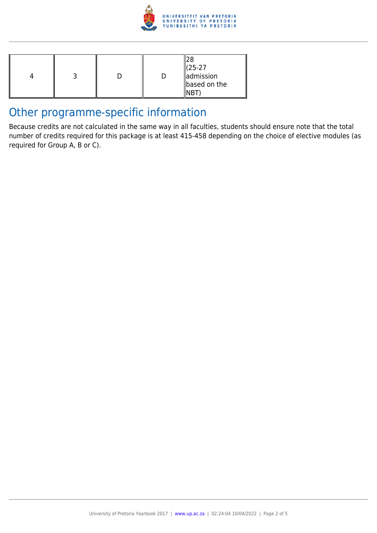

|  |  |  |  | $(25-27)$<br><b>admission</b><br>based on the |
|--|--|--|--|-----------------------------------------------|
|--|--|--|--|-----------------------------------------------|

## Other programme-specific information

Because credits are not calculated in the same way in all faculties, students should ensure note that the total number of credits required for this package is at least 415-458 depending on the choice of elective modules (as required for Group A, B or C).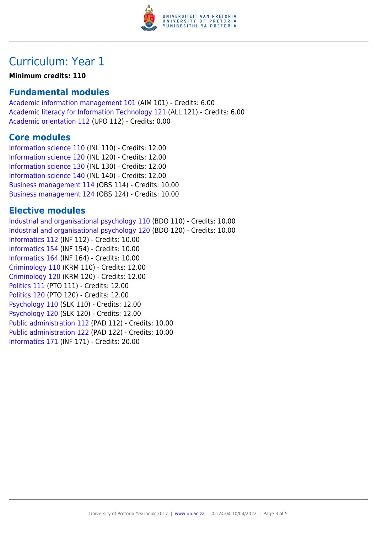

## Curriculum: Year 1

#### **Minimum credits: 110**

### **Fundamental modules**

[Academic information management 101](https://www.up.ac.za/yearbooks/2017/modules/view/AIM 101) (AIM 101) - Credits: 6.00 [Academic literacy for Information Technology 121](https://www.up.ac.za/yearbooks/2017/modules/view/ALL 121) (ALL 121) - Credits: 6.00 [Academic orientation 112](https://www.up.ac.za/yearbooks/2017/modules/view/UPO 112) (UPO 112) - Credits: 0.00

#### **Core modules**

[Information science 110](https://www.up.ac.za/yearbooks/2017/modules/view/INL 110) (INL 110) - Credits: 12.00 [Information science 120](https://www.up.ac.za/yearbooks/2017/modules/view/INL 120) (INL 120) - Credits: 12.00 [Information science 130](https://www.up.ac.za/yearbooks/2017/modules/view/INL 130) (INL 130) - Credits: 12.00 [Information science 140](https://www.up.ac.za/yearbooks/2017/modules/view/INL 140) (INL 140) - Credits: 12.00 [Business management 114](https://www.up.ac.za/yearbooks/2017/modules/view/OBS 114) (OBS 114) - Credits: 10.00 [Business management 124](https://www.up.ac.za/yearbooks/2017/modules/view/OBS 124) (OBS 124) - Credits: 10.00

#### **Elective modules**

[Industrial and organisational psychology 110](https://www.up.ac.za/yearbooks/2017/modules/view/BDO 110) (BDO 110) - Credits: 10.00 [Industrial and organisational psychology 120](https://www.up.ac.za/yearbooks/2017/modules/view/BDO 120) (BDO 120) - Credits: 10.00 [Informatics 112](https://www.up.ac.za/yearbooks/2017/modules/view/INF 112) (INF 112) - Credits: 10.00 [Informatics 154](https://www.up.ac.za/yearbooks/2017/modules/view/INF 154) (INF 154) - Credits: 10.00 [Informatics 164](https://www.up.ac.za/yearbooks/2017/modules/view/INF 164) (INF 164) - Credits: 10.00 [Criminology 110](https://www.up.ac.za/yearbooks/2017/modules/view/KRM 110) (KRM 110) - Credits: 12.00 [Criminology 120](https://www.up.ac.za/yearbooks/2017/modules/view/KRM 120) (KRM 120) - Credits: 12.00 [Politics 111](https://www.up.ac.za/yearbooks/2017/modules/view/PTO 111) (PTO 111) - Credits: 12.00 [Politics 120](https://www.up.ac.za/yearbooks/2017/modules/view/PTO 120) (PTO 120) - Credits: 12.00 [Psychology 110](https://www.up.ac.za/yearbooks/2017/modules/view/SLK 110) (SLK 110) - Credits: 12.00 [Psychology 120](https://www.up.ac.za/yearbooks/2017/modules/view/SLK 120) (SLK 120) - Credits: 12.00 [Public administration 112](https://www.up.ac.za/yearbooks/2017/modules/view/PAD 112) (PAD 112) - Credits: 10.00 [Public administration 122](https://www.up.ac.za/yearbooks/2017/modules/view/PAD 122) (PAD 122) - Credits: 10.00 [Informatics 171](https://www.up.ac.za/yearbooks/2017/modules/view/INF 171) (INF 171) - Credits: 20.00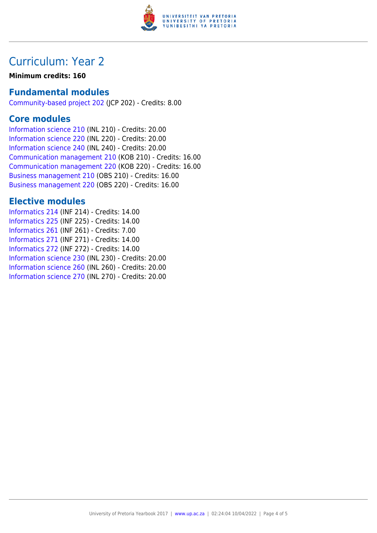

## Curriculum: Year 2

#### **Minimum credits: 160**

### **Fundamental modules**

[Community-based project 202](https://www.up.ac.za/yearbooks/2017/modules/view/JCP 202) (JCP 202) - Credits: 8.00

### **Core modules**

[Information science 210](https://www.up.ac.za/yearbooks/2017/modules/view/INL 210) (INL 210) - Credits: 20.00 [Information science 220](https://www.up.ac.za/yearbooks/2017/modules/view/INL 220) (INL 220) - Credits: 20.00 [Information science 240](https://www.up.ac.za/yearbooks/2017/modules/view/INL 240) (INL 240) - Credits: 20.00 [Communication management 210](https://www.up.ac.za/yearbooks/2017/modules/view/KOB 210) (KOB 210) - Credits: 16.00 [Communication management 220](https://www.up.ac.za/yearbooks/2017/modules/view/KOB 220) (KOB 220) - Credits: 16.00 [Business management 210](https://www.up.ac.za/yearbooks/2017/modules/view/OBS 210) (OBS 210) - Credits: 16.00 [Business management 220](https://www.up.ac.za/yearbooks/2017/modules/view/OBS 220) (OBS 220) - Credits: 16.00

### **Elective modules**

[Informatics 214](https://www.up.ac.za/yearbooks/2017/modules/view/INF 214) (INF 214) - Credits: 14.00 [Informatics 225](https://www.up.ac.za/yearbooks/2017/modules/view/INF 225) (INF 225) - Credits: 14.00 [Informatics 261](https://www.up.ac.za/yearbooks/2017/modules/view/INF 261) (INF 261) - Credits: 7.00 [Informatics 271](https://www.up.ac.za/yearbooks/2017/modules/view/INF 271) (INF 271) - Credits: 14.00 [Informatics 272](https://www.up.ac.za/yearbooks/2017/modules/view/INF 272) (INF 272) - Credits: 14.00 [Information science 230](https://www.up.ac.za/yearbooks/2017/modules/view/INL 230) (INL 230) - Credits: 20.00 [Information science 260](https://www.up.ac.za/yearbooks/2017/modules/view/INL 260) (INL 260) - Credits: 20.00 [Information science 270](https://www.up.ac.za/yearbooks/2017/modules/view/INL 270) (INL 270) - Credits: 20.00